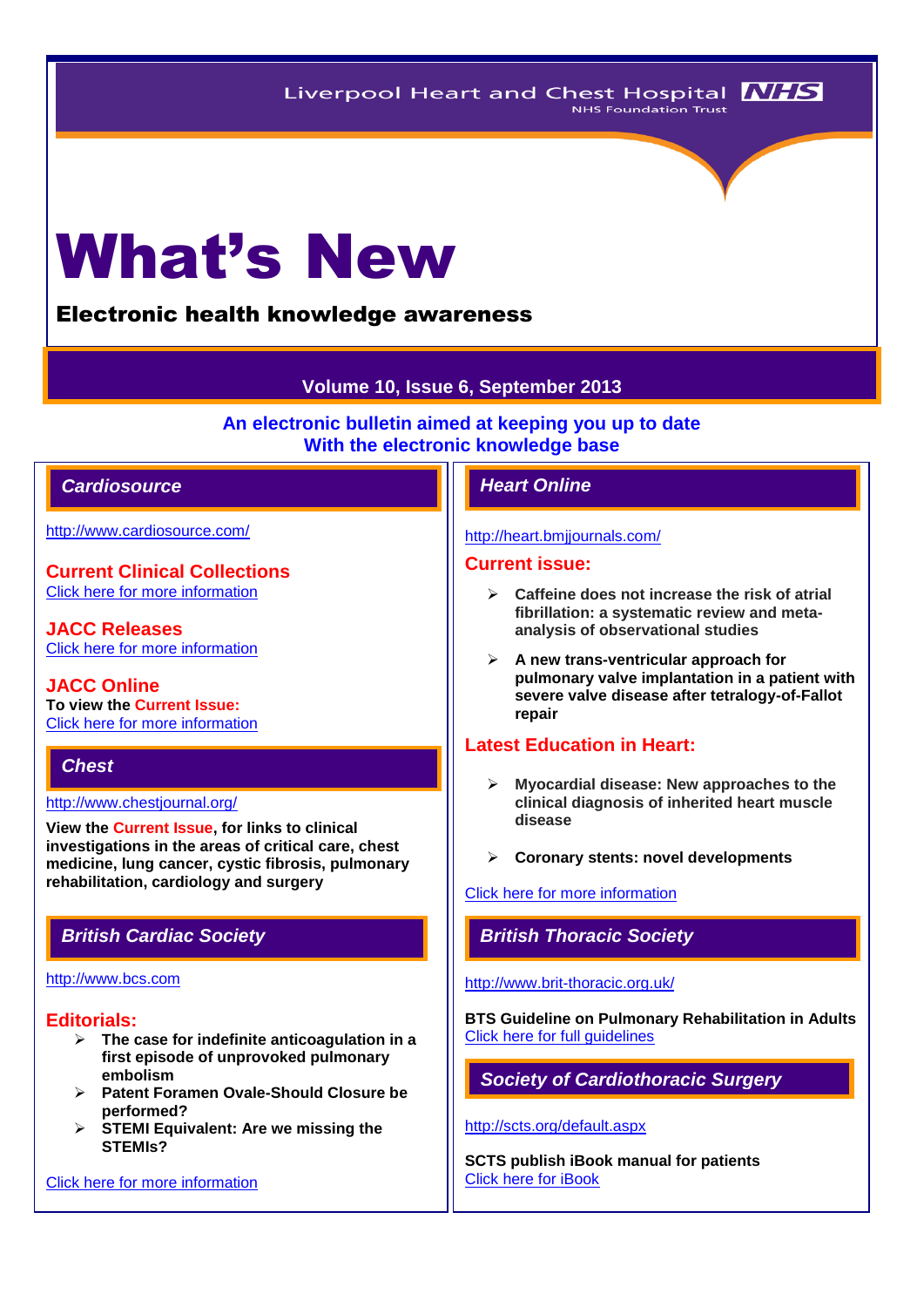# What's New

# Electronic health knowledge awareness

# **Volume 10, Issue 6, September 2013**

**An electronic bulletin aimed at keeping you up to date With the electronic knowledge base**

# *Cardiosource Heart Online*

<http://www.cardiosource.com/>

**Current Clinical Collections** [Click here for more information](http://www.cardiosource.org/science-and-quality/clinical-collections.aspx)

**JACC Releases** [Click here for more information](http://www.cardiosource.org/news-media/media-center/jacc-releases.aspx)

**JACC Online To view the Current Issue:** [Click here for more information](http://content.onlinejacc.org/current.dtl)

# *Chest*

<http://www.chestjournal.org/>

**View the Current Issue, for links to clinical investigations in the areas of critical care, chest medicine, lung cancer, cystic fibrosis, pulmonary rehabilitation, cardiology and surgery**

#### [http://www.bcs.com](http://www.bcs.com/)

## **Editorials:**

- **The case for indefinite anticoagulation in a first episode of unprovoked pulmonary embolism**
- **Patent Foramen Ovale-Should Closure be performed?**
- **STEMI Equivalent: Are we missing the STEMIs?**

[Click here for more information](http://www.bcs.com/editorial/editorial.asp)

#### <http://heart.bmjjournals.com/>

## **Current issue:**

- **Caffeine does not increase the risk of atrial fibrillation: a systematic review and metaanalysis of observational studies**
- **A new trans-ventricular approach for pulmonary valve implantation in a patient with severe valve disease after tetralogy-of-Fallot repair**

# **Latest Education in Heart:**

- **Myocardial disease: New approaches to the clinical diagnosis of inherited heart muscle disease**
- **Coronary stents: novel developments**

# [Click here for more information](http://heart.bmj.com/site/about/education.xhtml)

*British Cardiac Society British Thoracic Society* 

#### <http://www.brit-thoracic.org.uk/>

**BTS Guideline on Pulmonary Rehabilitation in Adults** Click here for full quidelines

*Society of Cardiothoracic Surgery* 

# <http://scts.org/default.aspx>

**SCTS publish iBook manual for patients** [Click here for iBook](http://www.scts.org/heartsurgerybluebook/)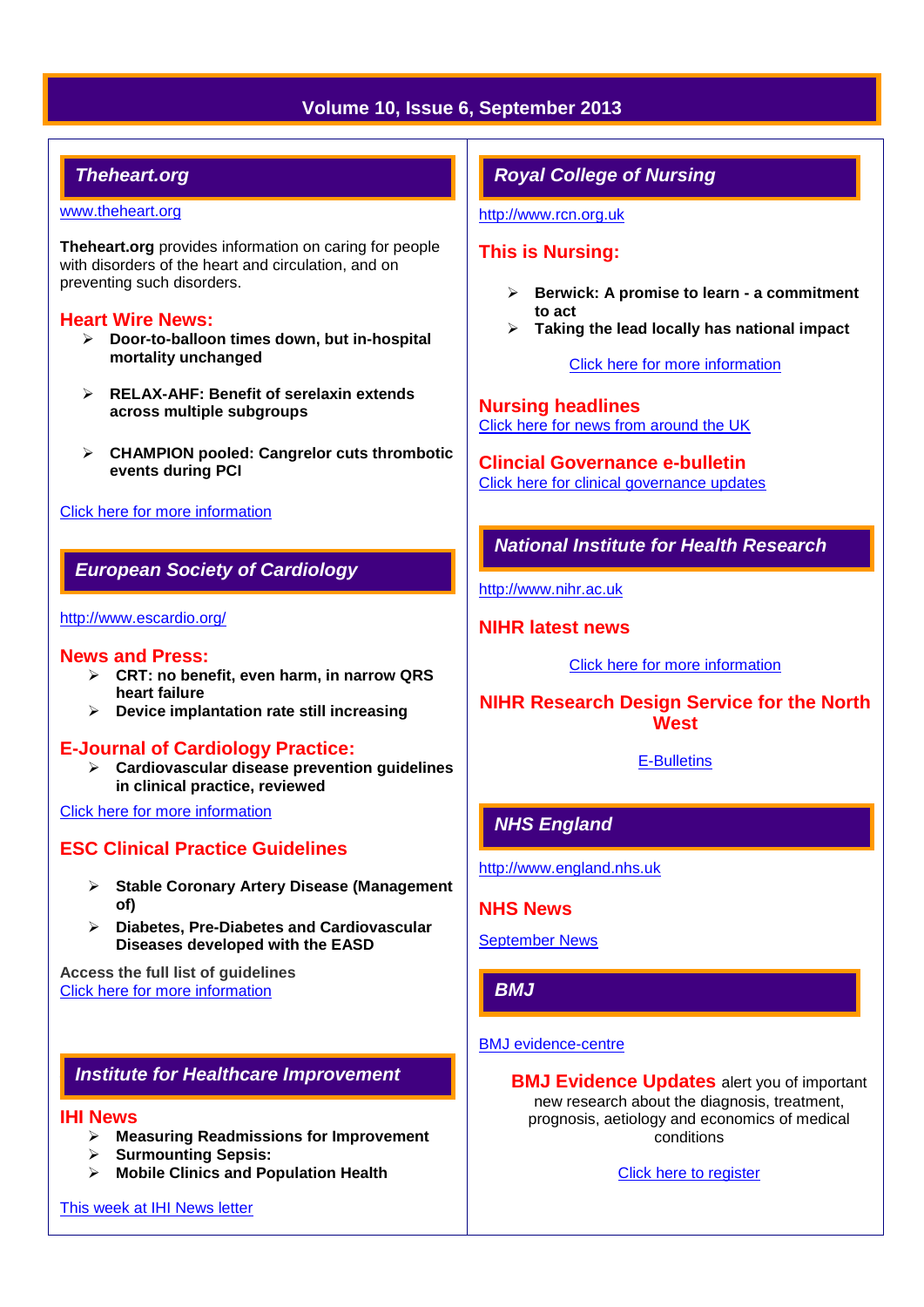# **Volume 10, Issue 6, September 2013**

# *Theheart.org*

#### [www.theheart.org](http://www.theheart.org/)

**Theheart.org** provides information on caring for people with disorders of the heart and circulation, and on preventing such disorders.

## **Heart Wire News:**

- **Door-to-balloon times down, but in-hospital mortality unchanged**
- **RELAX-AHF: Benefit of serelaxin extends across multiple subgroups**
- **CHAMPION pooled: Cangrelor cuts thrombotic events during PCI**

#### [Click here for more information](http://www.theheart.org/section/heartwire.do)

# *European Society of Cardiology*

#### <http://www.escardio.org/>

## **News and Press:**

- **CRT: no benefit, even harm, in narrow QRS heart failure**
- **Device implantation rate still increasing**

## **E-Journal of Cardiology Practice:**

 **Cardiovascular disease prevention guidelines in clinical practice, reviewed**

[Click here for more information](http://www.escardio.org/communities/councils/ccp/e-journal/volume12/Pages/welcome.aspx)

# **ESC Clinical Practice Guidelines**

- **Stable Coronary Artery Disease (Management of)**
- **Diabetes, Pre-Diabetes and Cardiovascular Diseases developed with the EASD**

**Access the full list of guidelines**  [Click here for more information](http://www.escardio.org/guidelines-surveys/esc-guidelines/Pages/GuidelinesList.aspx)

# *Institute for Healthcare Improvement*

#### **IHI News**

- **Measuring Readmissions for Improvement**
- **Surmounting Sepsis:**
- **Mobile Clinics and Population Health**

#### [This week at IHI News letter](http://www.ihi.org/Documents/ThisWeekatIHI.htm)

# *Royal College of Nursing*

[http://www.rcn.org.uk](http://www.rcn.org.uk/)

# **This is Nursing:**

- **Berwick: A promise to learn - a commitment to act**
- **Taking the lead locally has national impact**

[Click here for more information](http://thisisnursing.rcn.org.uk/members/)

**Nursing headlines** [Click here for news from around the UK](http://www.rcn.org.uk/newsevents/news)

**Clincial Governance e-bulletin** [Click here for clinical governance updates](http://www.rcn.org.uk/development/practice/clinical_governance/quality_and_safety_e-bulletin/e-bulletin_archive)

# *National Institute for Health Research*

[http://www.nihr.ac.uk](http://www.nihr.ac.uk/)

#### **NIHR latest news**

[Click here for more information](http://www.nihr.ac.uk/news/Pages/default.aspx)

**NIHR Research Design Service for the North West**

[E-Bulletins](http://www.rds-nw.nihr.ac.uk/newstrainingevents/ebulletin.php)

# *NHS England*

[http://www.england.nhs.uk](http://www.england.nhs.uk/)

**NHS News** 

[September News](http://www.england.nhs.uk/2013/09/09/nhs-news-issue-23/)

# *BMJ*

# [BMJ evidence-centre](http://group.bmj.com/products/evidence-centre/evidence-updates)

**BMJ Evidence Updates** alert you of important new research about the diagnosis, treatment, prognosis, aetiology and economics of medical conditions

[Click here to register](http://plus.mcmaster.ca/EvidenceUpdates/Registration.aspx)